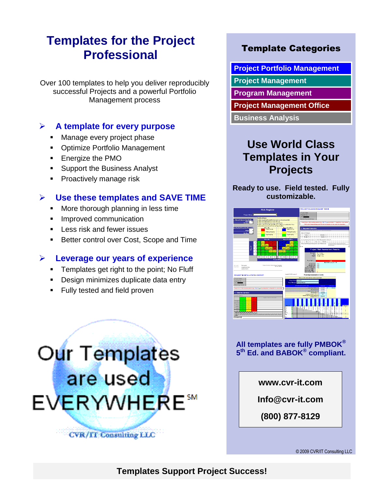# **Templates for the Project Professional**

Over 100 templates to help you deliver reproducibly successful Projects and a powerful Portfolio Management process

#### **A template for every purpose**

- **Manage every project phase**
- **Optimize Portfolio Management**
- Energize the PMO
- **Support the Business Analyst**
- **Proactively manage risk**

#### **Use these templates and SAVE TIME**

- **More thorough planning in less time**
- **Improved communication**
- **Less risk and fewer issues**
- Better control over Cost, Scope and Time

#### **Leverage our years of experience**

- **Templates get right to the point; No Fluff**
- **Design minimizes duplicate data entry**
- Fully tested and field proven

# Our Templates are used EVERYWHERE<sup>5M</sup> **CVR/II Consulting LLC**

## Template Categories

**Project Portfolio Management**

- **Project Management**
- **Program Management**
- **Project Management Office**

**Business Analysis**

## **Use World Class Templates in Your Projects**

**Ready to use. Field tested. Fully customizable.** 



#### **All templates are fully PMBOK® 5 th Ed. and BABOK® compliant.**

**www.cvr-it.com**

**Info@cvr-it.com**

**(800) 877-8129**

© 2009 CVR/IT Consulting LLC

**Templates Support Project Success!**